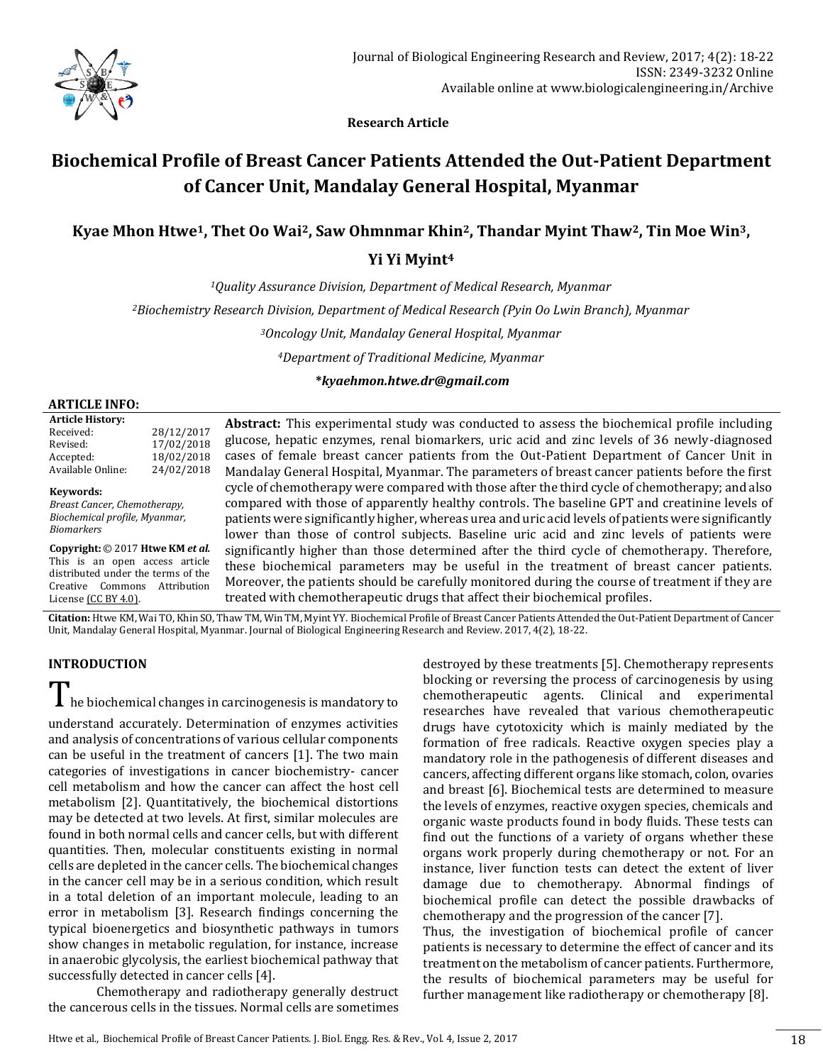

 **Research Article**

# **Biochemical Profile of Breast Cancer Patients Attended the Out-Patient Department of Cancer Unit, Mandalay General Hospital, Myanmar**

## **Kyae Mhon Htwe1, Thet Oo Wai2, Saw Ohmnmar Khin2, Thandar Myint Thaw2, Tin Moe Win3, Yi Yi Myint<sup>4</sup>**

*<sup>1</sup>Quality Assurance Division, Department of Medical Research, Myanmar*

*<sup>2</sup>Biochemistry Research Division, Department of Medical Research (Pyin Oo Lwin Branch), Myanmar*

*<sup>3</sup>Oncology Unit, Mandalay General Hospital, Myanmar*

*<sup>4</sup>Department of Traditional Medicine, Myanmar*

**\****kyaehmon.htwe.dr@gmail.com*

#### **ARTICLE INFO:**

| <b>Article History:</b> |            |
|-------------------------|------------|
| Received:               | 28/12/2017 |
| Revised:                | 17/02/2018 |
| Accepted:               | 18/02/2018 |
| Available Online:       | 24/02/2018 |
|                         |            |

**Keywords:** *Breast Cancer, Chemotherapy,* 

*Biochemical profile, Myanmar, Biomarkers*

**Copyright:** © 2017 **Htwe KM** *et al.* This is an open access article distributed under the terms of the Creative Commons Attribution Licens[e \(CC BY 4.0\).](https://creativecommons.org/licenses/by/4.0/)

**Abstract:** This experimental study was conducted to assess the biochemical profile including glucose, hepatic enzymes, renal biomarkers, uric acid and zinc levels of 36 newly-diagnosed cases of female breast cancer patients from the Out-Patient Department of Cancer Unit in Mandalay General Hospital, Myanmar. The parameters of breast cancer patients before the first cycle of chemotherapy were compared with those after the third cycle of chemotherapy; and also compared with those of apparently healthy controls. The baseline GPT and creatinine levels of patients were significantly higher, whereas urea and uric acid levels of patients were significantly lower than those of control subjects. Baseline uric acid and zinc levels of patients were significantly higher than those determined after the third cycle of chemotherapy. Therefore, these biochemical parameters may be useful in the treatment of breast cancer patients. Moreover, the patients should be carefully monitored during the course of treatment if they are treated with chemotherapeutic drugs that affect their biochemical profiles.

**Citation:** Htwe KM, Wai TO, Khin SO, Thaw TM, Win TM, Myint YY. Biochemical Profile of Breast Cancer Patients Attended the Out-Patient Department of Cancer Unit, Mandalay General Hospital, Myanmar. Journal of Biological Engineering Research and Review. 2017, 4(2), 18-22.

## **INTRODUCTION**

 $\mathbf I$  he biochemical changes in carcinogenesis is mandatory to

understand accurately. Determination of enzymes activities and analysis of concentrations of various cellular components can be useful in the treatment of cancers [1]. The two main categories of investigations in cancer biochemistry- cancer cell metabolism and how the cancer can affect the host cell metabolism [2]. Quantitatively, the biochemical distortions may be detected at two levels. At first, similar molecules are found in both normal cells and cancer cells, but with different quantities. Then, molecular constituents existing in normal cells are depleted in the cancer cells. The biochemical changes in the cancer cell may be in a serious condition, which result in a total deletion of an important molecule, leading to an error in metabolism [3]. Research findings concerning the typical bioenergetics and biosynthetic pathways in tumors show changes in metabolic regulation, for instance, increase in anaerobic glycolysis, the earliest biochemical pathway that successfully detected in cancer cells [4].

Chemotherapy and radiotherapy generally destruct the cancerous cells in the tissues. Normal cells are sometimes

destroyed by these treatments [5]. Chemotherapy represents blocking or reversing the process of carcinogenesis by using chemotherapeutic agents. Clinical and experimental researches have revealed that various chemotherapeutic drugs have cytotoxicity which is mainly mediated by the formation of free radicals. Reactive oxygen species play a mandatory role in the pathogenesis of different diseases and cancers, affecting different organs like stomach, colon, ovaries and breast [6]. Biochemical tests are determined to measure the levels of enzymes, reactive oxygen species, chemicals and organic waste products found in body fluids. These tests can find out the functions of a variety of organs whether these organs work properly during chemotherapy or not. For an instance, liver function tests can detect the extent of liver damage due to chemotherapy. Abnormal findings of biochemical profile can detect the possible drawbacks of chemotherapy and the progression of the cancer [7].

Thus, the investigation of biochemical profile of cancer patients is necessary to determine the effect of cancer and its treatment on the metabolism of cancer patients. Furthermore, the results of biochemical parameters may be useful for further management like radiotherapy or chemotherapy [8].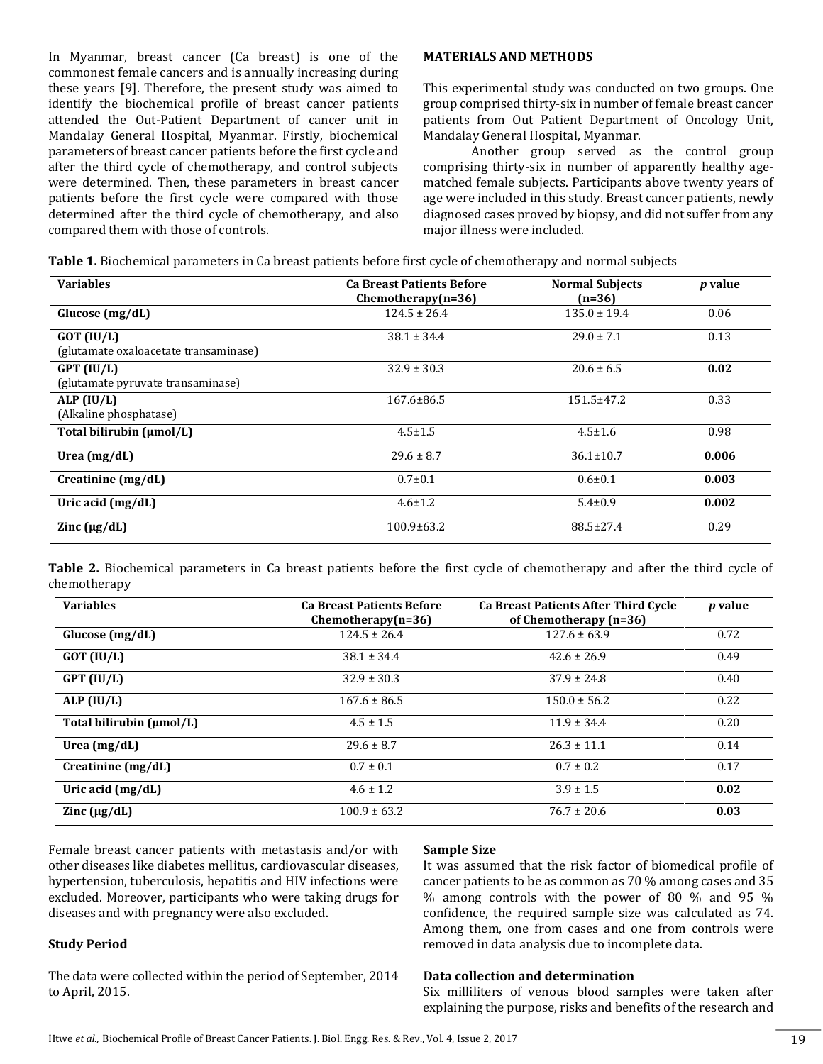In Myanmar, breast cancer (Ca breast) is one of the commonest female cancers and is annually increasing during these years [9]. Therefore, the present study was aimed to identify the biochemical profile of breast cancer patients attended the Out-Patient Department of cancer unit in Mandalay General Hospital, Myanmar. Firstly, biochemical parameters of breast cancer patients before the first cycle and after the third cycle of chemotherapy, and control subjects were determined. Then, these parameters in breast cancer patients before the first cycle were compared with those determined after the third cycle of chemotherapy, and also compared them with those of controls.

#### **MATERIALS AND METHODS**

This experimental study was conducted on two groups. One group comprised thirty-six in number of female breast cancer patients from Out Patient Department of Oncology Unit, Mandalay General Hospital, Myanmar.

Another group served as the control group comprising thirty-six in number of apparently healthy agematched female subjects. Participants above twenty years of age were included in this study. Breast cancer patients, newly diagnosed cases proved by biopsy, and did not suffer from any major illness were included.

|  |  |  | Table 1. Biochemical parameters in Ca breast patients before first cycle of chemotherapy and normal subjects |  |
|--|--|--|--------------------------------------------------------------------------------------------------------------|--|
|--|--|--|--------------------------------------------------------------------------------------------------------------|--|

| <b>Variables</b>                                      | <b>Ca Breast Patients Before</b><br>$Chemotherapy(n=36)$ | <b>Normal Subjects</b><br>$(n=36)$ | <i>p</i> value |
|-------------------------------------------------------|----------------------------------------------------------|------------------------------------|----------------|
| Glucose $(mg/dL)$                                     | $124.5 \pm 26.4$                                         | $135.0 \pm 19.4$                   | 0.06           |
| $GOT$ (IU/L)<br>(glutamate oxaloacetate transaminase) | $38.1 \pm 34.4$                                          | $29.0 \pm 7.1$                     | 0.13           |
| $GPT$ (IU/L)<br>(glutamate pyruvate transaminase)     | $32.9 \pm 30.3$                                          | $20.6 \pm 6.5$                     | 0.02           |
| ALP (IU/L)<br>(Alkaline phosphatase)                  | $167.6 \pm 86.5$                                         | $151.5 \pm 47.2$                   | 0.33           |
| Total bilirubin (µmol/L)                              | $4.5 \pm 1.5$                                            | $4.5 \pm 1.6$                      | 0.98           |
| Urea $(mg/dL)$                                        | $29.6 \pm 8.7$                                           | $36.1 \pm 10.7$                    | 0.006          |
| Creatinine (mg/dL)                                    | $0.7 + 0.1$                                              | $0.6 \pm 0.1$                      | 0.003          |
| Uric acid $(mg/dL)$                                   | $4.6 \pm 1.2$                                            | $5.4 \pm 0.9$                      | 0.002          |
| Zinc $(\mu g/dL)$                                     | $100.9 \pm 63.2$                                         | 88.5±27.4                          | 0.29           |

**Table 2.** Biochemical parameters in Ca breast patients before the first cycle of chemotherapy and after the third cycle of chemotherapy

| <b>Variables</b>         | <b>Ca Breast Patients Before</b><br>$Chemotheray(n=36)$ | <b>Ca Breast Patients After Third Cycle</b><br>of Chemotherapy (n=36) | <i>p</i> value |
|--------------------------|---------------------------------------------------------|-----------------------------------------------------------------------|----------------|
| Glucose $(mg/dL)$        | $124.5 \pm 26.4$                                        | $127.6 \pm 63.9$                                                      | 0.72           |
| $GOT$ (IU/L)             | $38.1 \pm 34.4$                                         | $42.6 \pm 26.9$                                                       | 0.49           |
| $GPT$ (IU/L)             | $32.9 \pm 30.3$                                         | $37.9 \pm 24.8$                                                       | 0.40           |
| ALP $(IU/L)$             | $167.6 \pm 86.5$                                        | $150.0 \pm 56.2$                                                      | 0.22           |
| Total bilirubin (µmol/L) | $4.5 \pm 1.5$                                           | $11.9 \pm 34.4$                                                       | 0.20           |
| Urea $(mg/dL)$           | $29.6 \pm 8.7$                                          | $26.3 \pm 11.1$                                                       | 0.14           |
| Creatinine (mg/dL)       | $0.7 \pm 0.1$                                           | $0.7 \pm 0.2$                                                         | 0.17           |
| Uric acid (mg/dL)        | $4.6 \pm 1.2$                                           | $3.9 \pm 1.5$                                                         | 0.02           |
| Zinc $(\mu g/dL)$        | $100.9 \pm 63.2$                                        | $76.7 \pm 20.6$                                                       | 0.03           |

Female breast cancer patients with metastasis and/or with other diseases like diabetes mellitus, cardiovascular diseases, hypertension, tuberculosis, hepatitis and HIV infections were excluded. Moreover, participants who were taking drugs for diseases and with pregnancy were also excluded.

## **Study Period**

The data were collected within the period of September, 2014 to April, 2015.

#### **Sample Size**

It was assumed that the risk factor of biomedical profile of cancer patients to be as common as 70 % among cases and 35 % among controls with the power of 80 % and 95 % confidence, the required sample size was calculated as 74. Among them, one from cases and one from controls were removed in data analysis due to incomplete data.

### **Data collection and determination**

Six milliliters of venous blood samples were taken after explaining the purpose, risks and benefits of the research and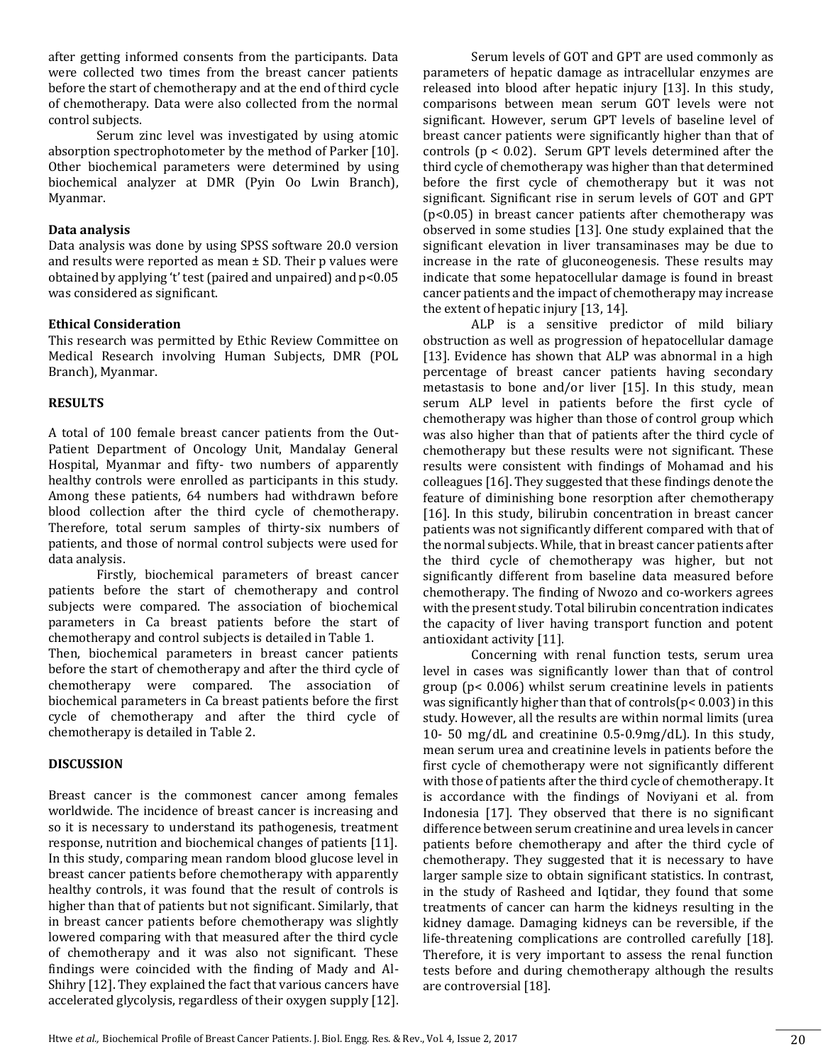after getting informed consents from the participants. Data were collected two times from the breast cancer patients before the start of chemotherapy and at the end of third cycle of chemotherapy. Data were also collected from the normal control subjects.

Serum zinc level was investigated by using atomic absorption spectrophotometer by the method of Parker [10]. Other biochemical parameters were determined by using biochemical analyzer at DMR (Pyin Oo Lwin Branch), Myanmar.

#### **Data analysis**

Data analysis was done by using SPSS software 20.0 version and results were reported as mean  $\pm$  SD. Their p values were obtained by applying 't' test (paired and unpaired) and p<0.05 was considered as significant.

#### **Ethical Consideration**

This research was permitted by Ethic Review Committee on Medical Research involving Human Subjects, DMR (POL Branch), Myanmar.

#### **RESULTS**

A total of 100 female breast cancer patients from the Out-Patient Department of Oncology Unit, Mandalay General Hospital, Myanmar and fifty- two numbers of apparently healthy controls were enrolled as participants in this study. Among these patients, 64 numbers had withdrawn before blood collection after the third cycle of chemotherapy. Therefore, total serum samples of thirty-six numbers of patients, and those of normal control subjects were used for data analysis.

Firstly, biochemical parameters of breast cancer patients before the start of chemotherapy and control subjects were compared. The association of biochemical parameters in Ca breast patients before the start of chemotherapy and control subjects is detailed in Table 1.

Then, biochemical parameters in breast cancer patients before the start of chemotherapy and after the third cycle of chemotherapy were compared. The association of biochemical parameters in Ca breast patients before the first cycle of chemotherapy and after the third cycle of chemotherapy is detailed in Table 2.

## **DISCUSSION**

Breast cancer is the commonest cancer among females worldwide. The incidence of breast cancer is increasing and so it is necessary to understand its pathogenesis, treatment response, nutrition and biochemical changes of patients [11]. In this study, comparing mean random blood glucose level in breast cancer patients before chemotherapy with apparently healthy controls, it was found that the result of controls is higher than that of patients but not significant. Similarly, that in breast cancer patients before chemotherapy was slightly lowered comparing with that measured after the third cycle of chemotherapy and it was also not significant. These findings were coincided with the finding of Mady and Al-Shihry [12]. They explained the fact that various cancers have accelerated glycolysis, regardless of their oxygen supply [12].

Serum levels of GOT and GPT are used commonly as parameters of hepatic damage as intracellular enzymes are released into blood after hepatic injury [13]. In this study, comparisons between mean serum GOT levels were not significant. However, serum GPT levels of baseline level of breast cancer patients were significantly higher than that of controls (p < 0.02). Serum GPT levels determined after the third cycle of chemotherapy was higher than that determined before the first cycle of chemotherapy but it was not significant. Significant rise in serum levels of GOT and GPT (p<0.05) in breast cancer patients after chemotherapy was observed in some studies [13]. One study explained that the significant elevation in liver transaminases may be due to increase in the rate of gluconeogenesis. These results may indicate that some hepatocellular damage is found in breast cancer patients and the impact of chemotherapy may increase the extent of hepatic injury [13, 14].

ALP is a sensitive predictor of mild biliary obstruction as well as progression of hepatocellular damage [13]. Evidence has shown that ALP was abnormal in a high percentage of breast cancer patients having secondary metastasis to bone and/or liver [15]. In this study, mean serum ALP level in patients before the first cycle of chemotherapy was higher than those of control group which was also higher than that of patients after the third cycle of chemotherapy but these results were not significant. These results were consistent with findings of Mohamad and his colleagues [16]. They suggested that these findings denote the feature of diminishing bone resorption after chemotherapy [16]. In this study, bilirubin concentration in breast cancer patients was not significantly different compared with that of the normal subjects. While, that in breast cancer patients after the third cycle of chemotherapy was higher, but not significantly different from baseline data measured before chemotherapy. The finding of Nwozo and co-workers agrees with the present study. Total bilirubin concentration indicates the capacity of liver having transport function and potent antioxidant activity [11].

Concerning with renal function tests, serum urea level in cases was significantly lower than that of control group (p< 0.006) whilst serum creatinine levels in patients was significantly higher than that of controls(p< 0.003) in this study. However, all the results are within normal limits (urea 10- 50 mg/dL and creatinine 0.5-0.9mg/dL). In this study, mean serum urea and creatinine levels in patients before the first cycle of chemotherapy were not significantly different with those of patients after the third cycle of chemotherapy. It is accordance with the findings of Noviyani et al. from Indonesia [17]. They observed that there is no significant difference between serum creatinine and urea levels in cancer patients before chemotherapy and after the third cycle of chemotherapy. They suggested that it is necessary to have larger sample size to obtain significant statistics. In contrast, in the study of Rasheed and Iqtidar, they found that some treatments of cancer can harm the kidneys resulting in the kidney damage. Damaging kidneys can be reversible, if the life-threatening complications are controlled carefully [18]. Therefore, it is very important to assess the renal function tests before and during chemotherapy although the results are controversial [18].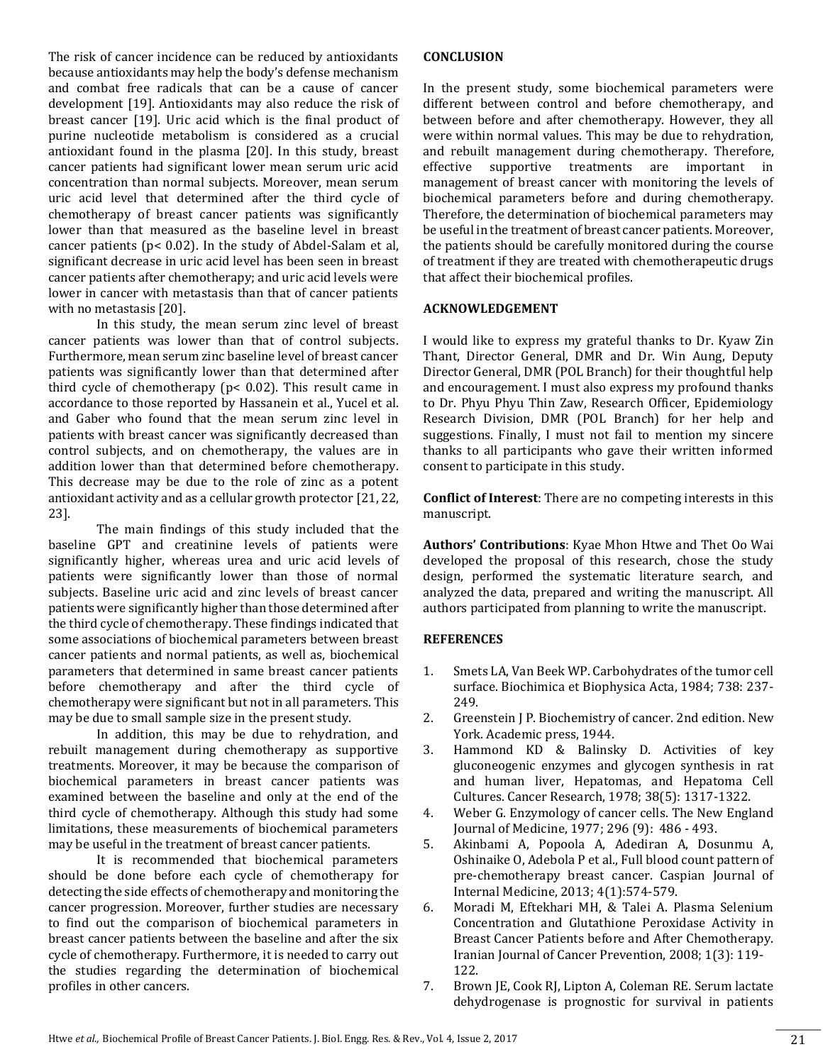The risk of cancer incidence can be reduced by antioxidants because antioxidants may help the body's defense mechanism and combat free radicals that can be a cause of cancer development [19]. Antioxidants may also reduce the risk of breast cancer [19]. Uric acid which is the final product of purine nucleotide metabolism is considered as a crucial antioxidant found in the plasma [20]. In this study, breast cancer patients had significant lower mean serum uric acid concentration than normal subjects. Moreover, mean serum uric acid level that determined after the third cycle of chemotherapy of breast cancer patients was significantly lower than that measured as the baseline level in breast cancer patients (p< 0.02). In the study of Abdel-Salam et al, significant decrease in uric acid level has been seen in breast cancer patients after chemotherapy; and uric acid levels were lower in cancer with metastasis than that of cancer patients with no metastasis [20].

In this study, the mean serum zinc level of breast cancer patients was lower than that of control subjects. Furthermore, mean serum zinc baseline level of breast cancer patients was significantly lower than that determined after third cycle of chemotherapy (p< 0.02). This result came in accordance to those reported by Hassanein et al., Yucel et al. and Gaber who found that the mean serum zinc level in patients with breast cancer was significantly decreased than control subjects, and on chemotherapy, the values are in addition lower than that determined before chemotherapy. This decrease may be due to the role of zinc as a potent antioxidant activity and as a cellular growth protector [21, 22, 23].

The main findings of this study included that the baseline GPT and creatinine levels of patients were significantly higher, whereas urea and uric acid levels of patients were significantly lower than those of normal subjects. Baseline uric acid and zinc levels of breast cancer patients were significantly higher than those determined after the third cycle of chemotherapy. These findings indicated that some associations of biochemical parameters between breast cancer patients and normal patients, as well as, biochemical parameters that determined in same breast cancer patients before chemotherapy and after the third cycle of chemotherapy were significant but not in all parameters. This may be due to small sample size in the present study.

In addition, this may be due to rehydration, and rebuilt management during chemotherapy as supportive treatments. Moreover, it may be because the comparison of biochemical parameters in breast cancer patients was examined between the baseline and only at the end of the third cycle of chemotherapy. Although this study had some limitations, these measurements of biochemical parameters may be useful in the treatment of breast cancer patients.

It is recommended that biochemical parameters should be done before each cycle of chemotherapy for detecting the side effects of chemotherapy and monitoring the cancer progression. Moreover, further studies are necessary to find out the comparison of biochemical parameters in breast cancer patients between the baseline and after the six cycle of chemotherapy. Furthermore, it is needed to carry out the studies regarding the determination of biochemical profiles in other cancers.

### **CONCLUSION**

In the present study, some biochemical parameters were different between control and before chemotherapy, and between before and after chemotherapy. However, they all were within normal values. This may be due to rehydration, and rebuilt management during chemotherapy. Therefore, effective supportive treatments are important in management of breast cancer with monitoring the levels of biochemical parameters before and during chemotherapy. Therefore, the determination of biochemical parameters may be useful in the treatment of breast cancer patients. Moreover, the patients should be carefully monitored during the course of treatment if they are treated with chemotherapeutic drugs that affect their biochemical profiles.

#### **ACKNOWLEDGEMENT**

I would like to express my grateful thanks to Dr. Kyaw Zin Thant, Director General, DMR and Dr. Win Aung, Deputy Director General, DMR (POL Branch) for their thoughtful help and encouragement. I must also express my profound thanks to Dr. Phyu Phyu Thin Zaw, Research Officer, Epidemiology Research Division, DMR (POL Branch) for her help and suggestions. Finally, I must not fail to mention my sincere thanks to all participants who gave their written informed consent to participate in this study.

**Conflict of Interest**: There are no competing interests in this manuscript.

**Authors' Contributions**: Kyae Mhon Htwe and Thet Oo Wai developed the proposal of this research, chose the study design, performed the systematic literature search, and analyzed the data, prepared and writing the manuscript. All authors participated from planning to write the manuscript.

## **REFERENCES**

- 1. Smets LA, Van Beek WP. Carbohydrates of the tumor cell surface. Biochimica et Biophysica Acta, 1984; 738: 237- 249.
- 2. Greenstein J P. Biochemistry of cancer. 2nd edition. New York. Academic press, 1944.
- 3. Hammond KD & Balinsky D. Activities of key gluconeogenic enzymes and glycogen synthesis in rat and human liver, Hepatomas, and Hepatoma Cell Cultures. Cancer Research, 1978; 38(5): 1317-1322.
- 4. Weber G. Enzymology of cancer cells. The New England Journal of Medicine, 1977; 296 (9): 486 - 493.
- 5. Akinbami A, Popoola A, Adediran A, Dosunmu A, Oshinaike O, Adebola P et al., Full blood count pattern of pre-chemotherapy breast cancer. Caspian Journal of Internal Medicine, 2013; 4(1):574-579.
- 6. Moradi M, Eftekhari MH, & Talei A. Plasma Selenium Concentration and Glutathione Peroxidase Activity in Breast Cancer Patients before and After Chemotherapy. Iranian Journal of Cancer Prevention, 2008; 1(3): 119- 122.
- 7. Brown JE, Cook RJ, Lipton A, Coleman RE. Serum lactate dehydrogenase is prognostic for survival in patients